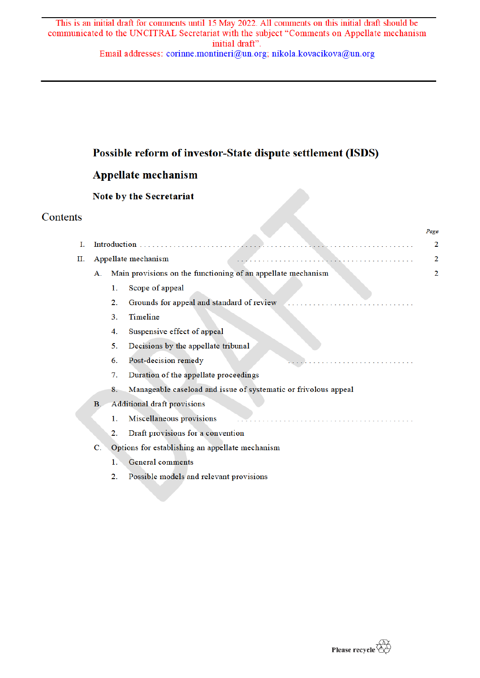# Possible reform of investor-State dispute settlement (ISDS)

# **Appellate mechanism**

# Note by the Secretariat

# Contents

|    |                |                                                              |                                                                 | Page |
|----|----------------|--------------------------------------------------------------|-----------------------------------------------------------------|------|
| Ι. |                | Introduction                                                 |                                                                 | 2    |
| П. |                | Appellate mechanism                                          |                                                                 |      |
|    | А.             | Main provisions on the functioning of an appellate mechanism |                                                                 | 2    |
|    |                | 1.                                                           | Scope of appeal                                                 |      |
|    |                | 2.                                                           | Grounds for appeal and standard of review                       |      |
|    |                | 3.                                                           | Timeline                                                        |      |
|    |                | 4.                                                           | Suspensive effect of appeal                                     |      |
|    |                | 5.                                                           | Decisions by the appellate tribunal                             |      |
|    |                | 6.                                                           | Post-decision remedy                                            |      |
|    |                | 7.                                                           | Duration of the appellate proceedings                           |      |
|    |                | 8.                                                           | Manageable caseload and issue of systematic or frivolous appeal |      |
|    | B <sub>1</sub> | <b>Additional draft provisions</b>                           |                                                                 |      |
|    |                | 1.                                                           | Miscellaneous provisions                                        |      |
|    |                | $\overline{2}$ .                                             | Draft provisions for a convention                               |      |
|    | C.             | Options for establishing an appellate mechanism              |                                                                 |      |
|    |                | 1.                                                           | <b>General comments</b>                                         |      |
|    |                | 2.                                                           | Possible models and relevant provisions                         |      |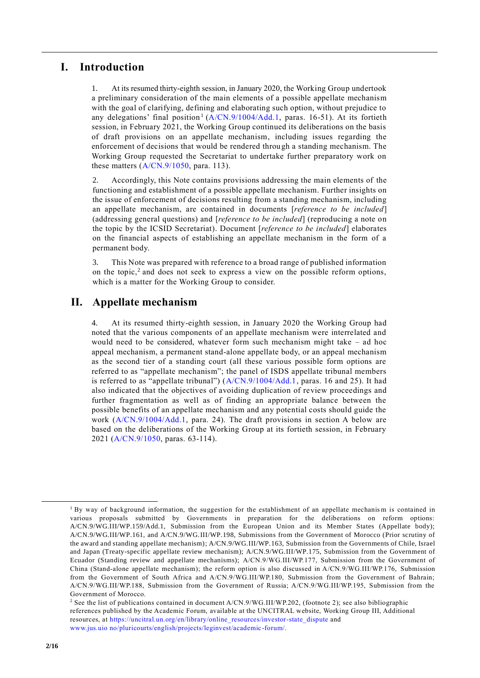## **I. Introduction**

1. At its resumed thirty-eighth session, in January 2020, the Working Group undertook a preliminary consideration of the main elements of a possible appellate mechanism with the goal of clarifying, defining and elaborating such option, without prejudice to any delegations' final position<sup>1</sup> (A/CN.9/1004/Add.1, paras. 16-51). At its fortieth session, in February 2021, the Working Group continued its deliberations on the basis of draft provisions on an appellate mechanism, including issues regarding the enforcement of decisions that would be rendered through a standing mechanism. The Working Group requested the Secretariat to undertake further preparatory work on these matters  $(A/CN.9/1050,$  para. 113).

Accordingly, this Note contains provisions addressing the main elements of the functioning and establishment of a possible appellate mechanism. Further insights on the issue of enforcement of decisions resulting from a standing mechanism, including an appellate mechanism, are contained in documents [*reference to be included*] (addressing general questions) and [*reference to be included*] (reproducing a note on the topic by the ICSID Secretariat). Document [*reference to be included*] elaborates on the financial aspects of establishing an appellate mechanism in the form of a permanent body.

3. This Note was prepared with reference to a broad range of published information on the topic,<sup>2</sup> and does not seek to express a view on the possible reform options, which is a matter for the Working Group to consider.

## **II. Appellate mechanism**

4. At its resumed thirty-eighth session, in January 2020 the Working Group had noted that the various components of an appellate mechanism were interrelated and would need to be considered, whatever form such mechanism might take – ad hoc appeal mechanism, a permanent stand-alone appellate body, or an appeal mechanism as the second tier of a standing court (all these various possible form options are referred to as "appellate mechanism"; the panel of ISDS appellate tribunal members is referred to as "appellate tribunal") (A/CN.9/1004/Add.1, paras. 16 and 25). It had also indicated that the objectives of avoiding duplication of review proceedings and further fragmentation as well as of finding an appropriate balance between the possible benefits of an appellate mechanism and any potential costs should guide the work (A/CN.9/1004/Add.1, para. 24). The draft provisions in section A below are based on the deliberations of the Working Group at its fortieth session, in February 2021 (A/CN.9/1050, paras. 63-114).

<sup>&</sup>lt;sup>1</sup> By way of background information, the suggestion for the establishment of an appellate mechanism is contained in various proposals submitted by Governments in preparation for the deliberations on reform options: A/CN.9/WG.III/WP.159/Add.1, Submission from the European Union and its Member States (Appellate body); A/CN.9/WG.III/WP.161, and A/CN.9/WG.III/WP.198, Submissions from the Government of Morocco (Prior scrutiny of the award and standing appellate mechanism); A/CN.9/WG.III/WP.163, Submission from the Governments of Chile, Israel and Japan (Treaty-specific appellate review mechanism); A/CN.9/WG.III/WP.175, Submission from the Government of Ecuador (Standing review and appellate mechanisms); A/CN.9/WG.III/WP.177, Submission from the Government of China (Stand-alone appellate mechanism); the reform option is also discussed in A/CN.9/WG.III/WP.176, Submission from the Government of South Africa and A/CN.9/WG.III/WP.180, Submission from the Government of Bahrain; A/CN.9/WG.III/WP.188, Submission from the Government of Russia; A/CN.9/WG.III/WP.195, Submission from the Government of Morocco.

<sup>&</sup>lt;sup>2</sup> See the list of publications contained in document A/CN.9/WG.III/WP.202, (footnote 2); see also bibliographic references published by the Academic Forum, available at the UNCITRAL website, Working Group III, Additional resources, at https://uncitral.un.org/en/library/online\_resources/investor-state\_dispute and www.jus.uio no/pluricourts/english/projects/leginvest/academic -forum/.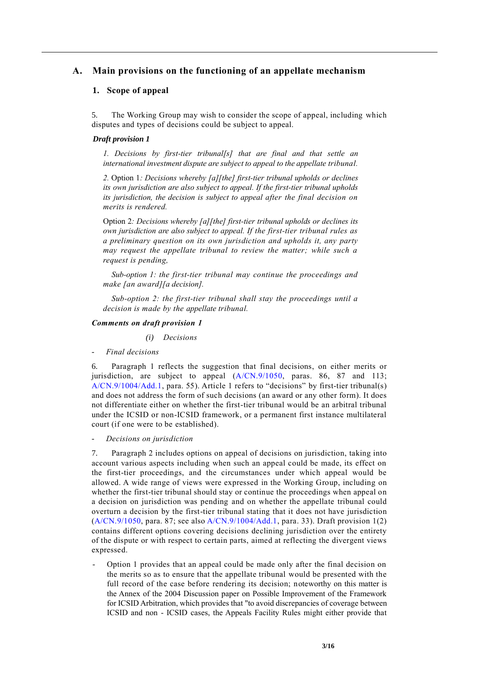## **A. Main provisions on the functioning of an appellate mechanism**

### **1. Scope of appeal**

5. The Working Group may wish to consider the scope of appeal, including which disputes and types of decisions could be subject to appeal.

#### *Draft provision 1*

*1. Decisions by first-tier tribunal[s] that are final and that settle an international investment dispute are subject to appeal to the appellate tribunal.* 

*2.* Option 1*: Decisions whereby [a][the] first-tier tribunal upholds or declines its own jurisdiction are also subject to appeal. If the first-tier tribunal upholds its jurisdiction, the decision is subject to appeal after the final decision on merits is rendered.*

Option 2*: Decisions whereby [a][the] first-tier tribunal upholds or declines its own jurisdiction are also subject to appeal. If the first-tier tribunal rules as a preliminary question on its own jurisdiction and upholds it, any party may request the appellate tribunal to review the matter; while such a request is pending,* 

*Sub-option 1: the first-tier tribunal may continue the proceedings and make [an award][a decision].*

*Sub-option 2: the first-tier tribunal shall stay the proceedings until a decision is made by the appellate tribunal.*

#### *Comments on draft provision 1*

*(i) Decisions*

- *Final decisions*

6. Paragraph 1 reflects the suggestion that final decisions, on either merits or jurisdiction, are subject to appeal (A/CN.9/1050, paras. 86, 87 and 113; A/CN.9/1004/Add.1, para. 55). Article 1 refers to "decisions" by first-tier tribunal(s) and does not address the form of such decisions (an award or any other form). It does not differentiate either on whether the first-tier tribunal would be an arbitral tribunal under the ICSID or non-ICSID framework, or a permanent first instance multilateral court (if one were to be established).

- *Decisions on jurisdiction*

7. Paragraph 2 includes options on appeal of decisions on jurisdiction, taking into account various aspects including when such an appeal could be made, its effect on the first-tier proceedings, and the circumstances under which appeal would be allowed. A wide range of views were expressed in the Working Group, including on whether the first-tier tribunal should stay or continue the proceedings when appeal on a decision on jurisdiction was pending and on whether the appellate tribunal could overturn a decision by the first-tier tribunal stating that it does not have jurisdiction (A/CN.9/1050, para. 87; see also A/CN.9/1004/Add.1, para. 33). Draft provision 1(2) contains different options covering decisions declining jurisdiction over the entirety of the dispute or with respect to certain parts, aimed at reflecting the divergent views expressed.

- Option 1 provides that an appeal could be made only after the final decision on the merits so as to ensure that the appellate tribunal would be presented with the full record of the case before rendering its decision; noteworthy on this matter is the Annex of the 2004 Discussion paper on Possible Improvement of the Framework for ICSID Arbitration, which provides that "to avoid discrepancies of coverage between ICSID and non - ICSID cases, the Appeals Facility Rules might either provide that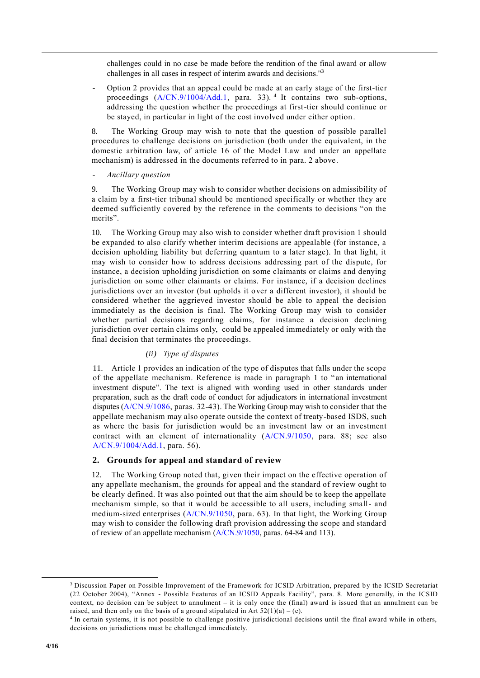challenges could in no case be made before the rendition of the final award or allow challenges in all cases in respect of interim awards and decisions."<sup>3</sup>

- Option 2 provides that an appeal could be made at an early stage of the first-tier proceedings (A/CN.9/1004/Add.1, para. 33).<sup>4</sup> It contains two sub-options, addressing the question whether the proceedings at first-tier should continue or be stayed, in particular in light of the cost involved under either option.

8. The Working Group may wish to note that the question of possible parallel procedures to challenge decisions on jurisdiction (both under the equivalent, in the domestic arbitration law, of article 16 of the Model Law and under an appellate mechanism) is addressed in the documents referred to in para. 2 above.

- *Ancillary question*

9. The Working Group may wish to consider whether decisions on admissibility of a claim by a first-tier tribunal should be mentioned specifically or whether they are deemed sufficiently covered by the reference in the comments to decisions "on the merits".

10. The Working Group may also wish to consider whether draft provision 1 should be expanded to also clarify whether interim decisions are appealable (for instance, a decision upholding liability but deferring quantum to a later stage). In that light, it may wish to consider how to address decisions addressing part of the dispute, for instance, a decision upholding jurisdiction on some claimants or claims and denying jurisdiction on some other claimants or claims. For instance, if a decision declines jurisdictions over an investor (but upholds it over a different investor), it should be considered whether the aggrieved investor should be able to appeal the decision immediately as the decision is final. The Working Group may wish to consider whether partial decisions regarding claims, for instance a decision declining jurisdiction over certain claims only, could be appealed immediately or only with the final decision that terminates the proceedings.

#### *(ii) Type of disputes*

11. Article 1 provides an indication of the type of disputes that falls under the scope of the appellate mechanism. Reference is made in paragraph 1 to "an international investment dispute". The text is aligned with wording used in other standards under preparation, such as the draft code of conduct for adjudicators in international investment disputes (A/CN.9/1086, paras. 32-43). The Working Group may wish to consider that the appellate mechanism may also operate outside the context of treaty-based ISDS, such as where the basis for jurisdiction would be an investment law or an investment contract with an element of internationality (A/CN.9/1050, para. 88; see also A/CN.9/1004/Add.1, para. 56).

#### **2. Grounds for appeal and standard of review**

12. The Working Group noted that, given their impact on the effective operation of any appellate mechanism, the grounds for appeal and the standard of review ought to be clearly defined. It was also pointed out that the aim should be to keep the appellate mechanism simple, so that it would be accessible to all users, including small- and medium-sized enterprises (A/CN.9/1050, para. 63). In that light, the Working Group may wish to consider the following draft provision addressing the scope and standard of review of an appellate mechanism (A/CN.9/1050, paras. 64-84 and 113).

<sup>&</sup>lt;sup>3</sup> Discussion Paper on Possible Improvement of the Framework for ICSID Arbitration, prepared by the ICSID Secretariat (22 October 2004), "Annex - Possible Features of an ICSID Appeals Facility", para. 8. More generally, in the ICSID context, no decision can be subject to annulment – it is only once the (final) award is issued that an annulment can be raised, and then only on the basis of a ground stipulated in Art  $52(1)(a) - (e)$ .

<sup>4</sup> In certain systems, it is not possible to challenge positive jurisdictional decisions until the final award while in others, decisions on jurisdictions must be challenged immediately.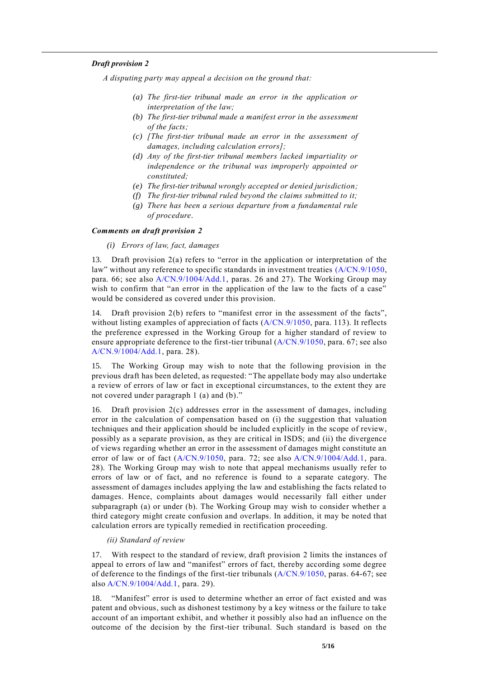#### *Draft provision 2*

*A disputing party may appeal a decision on the ground that:*

- *(a) The first-tier tribunal made an error in the application or interpretation of the law;*
- *(b) The first-tier tribunal made a manifest error in the assessment of the facts;*
- *(c) [The first-tier tribunal made an error in the assessment of damages, including calculation errors];*
- *(d) Any of the first-tier tribunal members lacked impartiality or independence or the tribunal was improperly appointed or constituted;*
- *(e) The first-tier tribunal wrongly accepted or denied jurisdiction;*
- *(f) The first-tier tribunal ruled beyond the claims submitted to it;*
- *(g) There has been a serious departure from a fundamental rule of procedure*.

#### *Comments on draft provision 2*

#### *(i) Errors of law, fact, damages*

13. Draft provision 2(a) refers to "error in the application or interpretation of the law" without any reference to specific standards in investment treaties (A/CN.9/1050, para. 66; see also A/CN.9/1004/Add.1, paras. 26 and 27). The Working Group may wish to confirm that "an error in the application of the law to the facts of a case" would be considered as covered under this provision.

14. Draft provision 2(b) refers to "manifest error in the assessment of the facts", without listing examples of appreciation of facts  $(A/CN.9/1050, \text{para. } 113)$ . It reflects the preference expressed in the Working Group for a higher standard of review to ensure appropriate deference to the first-tier tribunal (A/CN.9/1050, para. 67; see also A/CN.9/1004/Add.1, para. 28).

15. The Working Group may wish to note that the following provision in the previous draft has been deleted, as requested: "The appellate body may also undertake a review of errors of law or fact in exceptional circumstances, to the extent they are not covered under paragraph 1 (a) and (b)."

16. Draft provision 2(c) addresses error in the assessment of damages, including error in the calculation of compensation based on (i) the suggestion that valuation techniques and their application should be included explicitly in the scope of review, possibly as a separate provision, as they are critical in ISDS; and (ii) the divergence of views regarding whether an error in the assessment of damages might constitute an error of law or of fact (A/CN.9/1050, para. 72; see also A/CN.9/1004/Add.1, para. 28). The Working Group may wish to note that appeal mechanisms usually refer to errors of law or of fact, and no reference is found to a separate category. The assessment of damages includes applying the law and establishing the facts related to damages. Hence, complaints about damages would necessarily fall either under subparagraph (a) or under (b). The Working Group may wish to consider whether a third category might create confusion and overlaps. In addition, it may be noted that calculation errors are typically remedied in rectification proceeding.

#### *(ii) Standard of review*

17. With respect to the standard of review, draft provision 2 limits the instances of appeal to errors of law and "manifest" errors of fact, thereby according some degree of deference to the findings of the first-tier tribunals (A/CN.9/1050, paras. 64-67; see also A/CN.9/1004/Add.1, para. 29).

18. "Manifest" error is used to determine whether an error of fact existed and was patent and obvious, such as dishonest testimony by a key witness or the failure to take account of an important exhibit, and whether it possibly also had an influence on the outcome of the decision by the first-tier tribunal. Such standard is based on the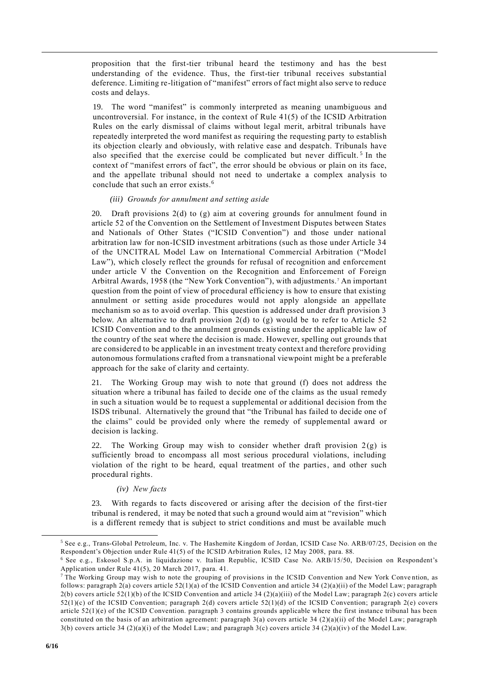proposition that the first-tier tribunal heard the testimony and has the best understanding of the evidence. Thus, the first-tier tribunal receives substantial deference. Limiting re-litigation of "manifest" errors of fact might also serve to reduce costs and delays.

19. The word "manifest" is commonly interpreted as meaning unambiguous and uncontroversial. For instance, in the context of Rule 41(5) of the ICSID Arbitration Rules on the early dismissal of claims without legal merit, arbitral tribunals have repeatedly interpreted the word manifest as requiring the requesting party to establish its objection clearly and obviously, with relative ease and despatch. Tribunals have also specified that the exercise could be complicated but never difficult.<sup>5</sup> In the context of "manifest errors of fact", the error should be obvious or plain on its face, and the appellate tribunal should not need to undertake a complex analysis to conclude that such an error exists.<sup>6</sup>

### *(iii) Grounds for annulment and setting aside*

20. Draft provisions 2(d) to (g) aim at covering grounds for annulment found in article 52 of the Convention on the Settlement of Investment Disputes between States and Nationals of Other States ("ICSID Convention") and those under national arbitration law for non-ICSID investment arbitrations (such as those under Article 34 of the UNCITRAL Model Law on International Commercial Arbitration ("Model Law"), which closely reflect the grounds for refusal of recognition and enforcement under article V the Convention on the Recognition and Enforcement of Foreign Arbitral Awards, 1958 (the "New York Convention"), with adjustments. <sup>7</sup> An important question from the point of view of procedural efficiency is how to ensure that existing annulment or setting aside procedures would not apply alongside an appellate mechanism so as to avoid overlap. This question is addressed under draft provision 3 below. An alternative to draft provision  $2(d)$  to  $(g)$  would be to refer to Article 52 ICSID Convention and to the annulment grounds existing under the applicable law of the country of the seat where the decision is made. However, spelling out grounds that are considered to be applicable in an investment treaty context and therefore providing autonomous formulations crafted from a transnational viewpoint might be a preferable approach for the sake of clarity and certainty.

21. The Working Group may wish to note that ground (f) does not address the situation where a tribunal has failed to decide one of the claims as the usual remedy in such a situation would be to request a supplemental or additional decision from the ISDS tribunal. Alternatively the ground that "the Tribunal has failed to decide one of the claims" could be provided only where the remedy of supplemental award or decision is lacking.

22. The Working Group may wish to consider whether draft provision  $2(g)$  is sufficiently broad to encompass all most serious procedural violations, including violation of the right to be heard, equal treatment of the parties, and other such procedural rights.

## *(iv) New facts*

23. With regards to facts discovered or arising after the decision of the first-tier tribunal is rendered, it may be noted that such a ground would aim at "revision" which is a different remedy that is subject to strict conditions and must be available much

<sup>5</sup> See e.g., Trans-Global Petroleum, Inc. v. The Hashemite Kingdom of Jordan, ICSID Case No. ARB/07/25, Decision on the Respondent's Objection under Rule 41(5) of the ICSID Arbitration Rules, 12 May 2008, para. 88.

<sup>6</sup> See e.g., Eskosol S.p.A. in liquidazione v. Italian Republic, ICSID Case No. ARB/15/50, Decision on Respondent's Application under Rule 41(5), 20 March 2017, para. 41.

<sup>&</sup>lt;sup>7</sup> The Working Group may wish to note the grouping of provisions in the ICSID Convention and New York Convention, as follows: paragraph 2(a) covers article  $52(1)(a)$  of the ICSID Convention and article 34 (2)(a)(ii) of the Model Law; paragraph 2(b) covers article 52(1)(b) of the ICSID Convention and article 34 (2)(a)(iii) of the Model Law; paragraph 2(c) covers article  $52(1)(c)$  of the ICSID Convention; paragraph 2(d) covers article  $52(1)(d)$  of the ICSID Convention; paragraph 2(e) covers article 52(1)(e) of the ICSID Convention. paragraph 3 contains grounds applicable where the first instance tribunal has been constituted on the basis of an arbitration agreement: paragraph  $3(a)$  covers article  $34 (2)(a)(ii)$  of the Model Law; paragraph 3(b) covers article 34 (2)(a)(i) of the Model Law; and paragraph 3(c) covers article 34 (2)(a)(iv) of the Model Law.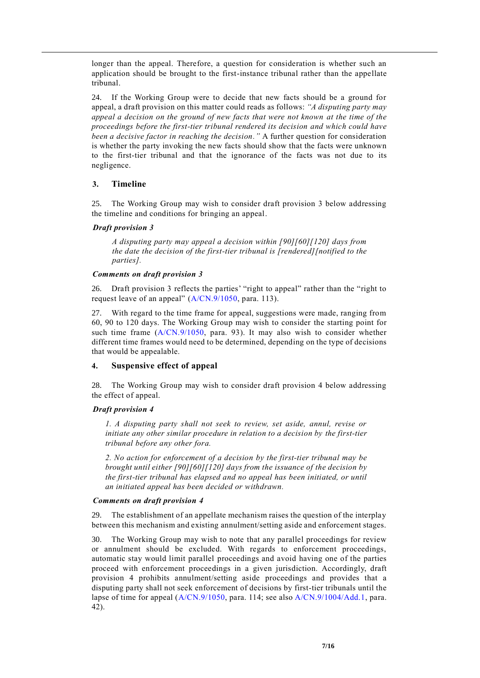longer than the appeal. Therefore, a question for consideration is whether such an application should be brought to the first-instance tribunal rather than the appellate tribunal.

24. If the Working Group were to decide that new facts should be a ground for appeal, a draft provision on this matter could reads as follows: *"A disputing party may appeal a decision on the ground of new facts that were not known at the time of the proceedings before the first-tier tribunal rendered its decision and which could have been a decisive factor in reaching the decision."* A further question for consideration is whether the party invoking the new facts should show that the facts were unknown to the first-tier tribunal and that the ignorance of the facts was not due to its negligence.

## **3. Timeline**

25. The Working Group may wish to consider draft provision 3 below addressing the timeline and conditions for bringing an appeal.

#### *Draft provision 3*

*A disputing party may appeal a decision within [90][60][120] days from the date the decision of the first-tier tribunal is [rendered][notified to the parties].*

#### *Comments on draft provision 3*

26. Draft provision 3 reflects the parties' "right to appeal" rather than the "right to request leave of an appeal" (A/CN.9/1050, para. 113).

27. With regard to the time frame for appeal, suggestions were made, ranging from 60, 90 to 120 days. The Working Group may wish to consider the starting point for such time frame (A/CN.9/1050, para. 93). It may also wish to consider whether different time frames would need to be determined, depending on the type of decisions that would be appealable.

## **4. Suspensive effect of appeal**

28. The Working Group may wish to consider draft provision 4 below addressing the effect of appeal.

## *Draft provision 4*

*1. A disputing party shall not seek to review, set aside, annul, revise or initiate any other similar procedure in relation to a decision by the first-tier tribunal before any other fora.*

*2. No action for enforcement of a decision by the first-tier tribunal may be brought until either [90][60][120] days from the issuance of the decision by the first-tier tribunal has elapsed and no appeal has been initiated, or until an initiated appeal has been decided or withdrawn.*

#### *Comments on draft provision 4*

29. The establishment of an appellate mechanism raises the question of the interplay between this mechanism and existing annulment/setting aside and enforcement stages.

30. The Working Group may wish to note that any parallel proceedings for review or annulment should be excluded. With regards to enforcement proceedings, automatic stay would limit parallel proceedings and avoid having one of the parties proceed with enforcement proceedings in a given jurisdiction. Accordingly, draft provision 4 prohibits annulment/setting aside proceedings and provides that a disputing party shall not seek enforcement of decisions by first-tier tribunals until the lapse of time for appeal (A/CN.9/1050, para. 114; see also A/CN.9/1004/Add.1, para. 42).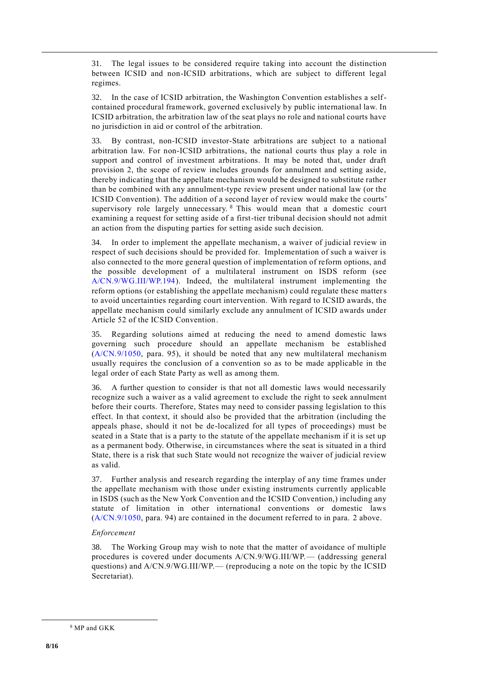31. The legal issues to be considered require taking into account the distinction between ICSID and non-ICSID arbitrations, which are subject to different legal regimes.

32. In the case of ICSID arbitration, the Washington Convention establishes a selfcontained procedural framework, governed exclusively by public international law. In ICSID arbitration, the arbitration law of the seat plays no role and national courts have no jurisdiction in aid or control of the arbitration.

33. By contrast, non-ICSID investor-State arbitrations are subject to a national arbitration law. For non-ICSID arbitrations, the national courts thus play a role in support and control of investment arbitrations. It may be noted that, under draft provision 2, the scope of review includes grounds for annulment and setting aside, thereby indicating that the appellate mechanism would be designed to substitute rather than be combined with any annulment-type review present under national law (or the ICSID Convention). The addition of a second layer of review would make the courts' supervisory role largely unnecessary. <sup>8</sup> This would mean that a domestic court examining a request for setting aside of a first-tier tribunal decision should not admit an action from the disputing parties for setting aside such decision.

34. In order to implement the appellate mechanism, a waiver of judicial review in respect of such decisions should be provided for. Implementation of such a waiver is also connected to the more general question of implementation of reform options, and the possible development of a multilateral instrument on ISDS reform (see A/CN.9/WG.III/WP.194). Indeed, the multilateral instrument implementing the reform options (or establishing the appellate mechanism) could regulate these matters to avoid uncertainties regarding court intervention. With regard to ICSID awards, the appellate mechanism could similarly exclude any annulment of ICSID awards under Article 52 of the ICSID Convention.

35. Regarding solutions aimed at reducing the need to amend domestic laws governing such procedure should an appellate mechanism be established (A/CN.9/1050, para. 95), it should be noted that any new multilateral mechanism usually requires the conclusion of a convention so as to be made applicable in the legal order of each State Party as well as among them.

36. A further question to consider is that not all domestic laws would necessarily recognize such a waiver as a valid agreement to exclude the right to seek annulment before their courts. Therefore, States may need to consider passing legislation to this effect. In that context, it should also be provided that the arbitration (including the appeals phase, should it not be de-localized for all types of proceedings) must be seated in a State that is a party to the statute of the appellate mechanism if it is set up as a permanent body. Otherwise, in circumstances where the seat is situated in a third State, there is a risk that such State would not recognize the waiver of judicial review as valid.

37. Further analysis and research regarding the interplay of any time frames under the appellate mechanism with those under existing instruments currently applicable in ISDS (such as the New York Convention and the ICSID Convention,) including any statute of limitation in other international conventions or domestic laws (A/CN.9/1050, para. 94) are contained in the document referred to in para. 2 above.

## *Enforcement*

38. The Working Group may wish to note that the matter of avoidance of multiple procedures is covered under documents A/CN.9/WG.III/WP.— (addressing general questions) and A/CN.9/WG.III/WP.— (reproducing a note on the topic by the ICSID Secretariat).

<sup>8</sup> MP and GKK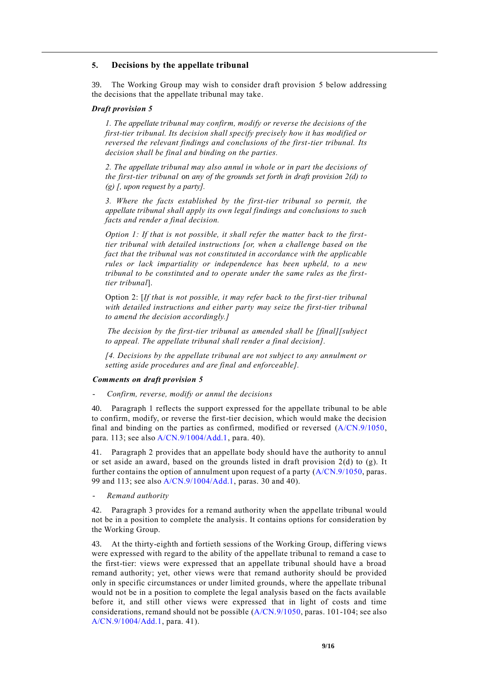#### **5. Decisions by the appellate tribunal**

39. The Working Group may wish to consider draft provision 5 below addressing the decisions that the appellate tribunal may take.

#### *Draft provision 5*

*1. The appellate tribunal may confirm, modify or reverse the decisions of the first-tier tribunal. Its decision shall specify precisely how it has modified or reversed the relevant findings and conclusions of the first-tier tribunal. Its decision shall be final and binding on the parties.*

*2. The appellate tribunal may also annul in whole or in part the decisions of the first-tier tribunal on any of the grounds set forth in draft provision 2(d) to (g) [, upon request by a party].* 

*3. Where the facts established by the first-tier tribunal so permit, the appellate tribunal shall apply its own legal findings and conclusions to such facts and render a final decision.*

*Option 1: If that is not possible, it shall refer the matter back to the firsttier tribunal with detailed instructions [or, when a challenge based on the fact that the tribunal was not constituted in accordance with the applicable rules or lack impartiality or independence has been upheld, to a new tribunal to be constituted and to operate under the same rules as the firsttier tribunal*].

Option 2: [*If that is not possible, it may refer back to the first-tier tribunal with detailed instructions and either party may seize the first-tier tribunal to amend the decision accordingly.]*

*The decision by the first-tier tribunal as amended shall be [final][subject to appeal. The appellate tribunal shall render a final decision].* 

*[4. Decisions by the appellate tribunal are not subject to any annulment or setting aside procedures and are final and enforceable].* 

#### *Comments on draft provision 5*

- *Confirm, reverse, modify or annul the decisions*

40. Paragraph 1 reflects the support expressed for the appellate tribunal to be able to confirm, modify, or reverse the first-tier decision, which would make the decision final and binding on the parties as confirmed, modified or reversed (A/CN.9/1050, para. 113; see also A/CN.9/1004/Add.1, para. 40).

41. Paragraph 2 provides that an appellate body should have the authority to annul or set aside an award, based on the grounds listed in draft provision 2(d) to (g). It further contains the option of annulment upon request of a party  $(A/CN.9/1050, \text{ paras.})$ 99 and 113; see also A/CN.9/1004/Add.1, paras. 30 and 40).

- *Remand authority*

42. Paragraph 3 provides for a remand authority when the appellate tribunal would not be in a position to complete the analysis. It contains options for consideration by the Working Group.

43. At the thirty-eighth and fortieth sessions of the Working Group, differing views were expressed with regard to the ability of the appellate tribunal to remand a case to the first-tier: views were expressed that an appellate tribunal should have a broad remand authority; yet, other views were that remand authority should be provided only in specific circumstances or under limited grounds, where the appellate tribunal would not be in a position to complete the legal analysis based on the facts available before it, and still other views were expressed that in light of costs and time considerations, remand should not be possible (A/CN.9/1050, paras. 101-104; see also A/CN.9/1004/Add.1, para. 41).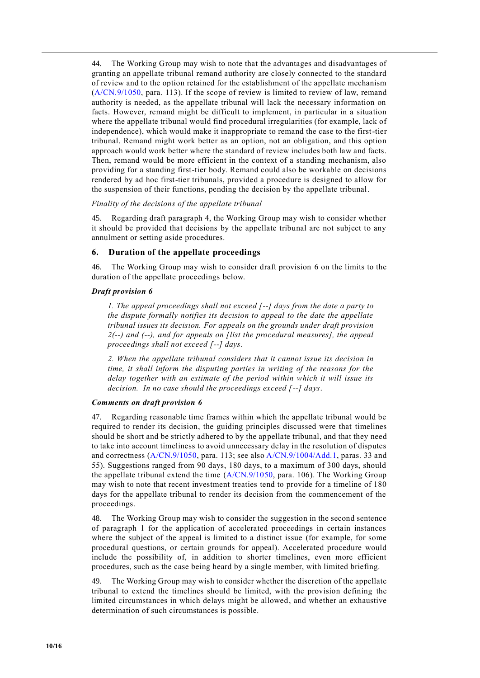44. The Working Group may wish to note that the advantages and disadvantages of granting an appellate tribunal remand authority are closely connected to the standard of review and to the option retained for the establishment of the appellate mechanism (A/CN.9/1050, para. 113). If the scope of review is limited to review of law, remand authority is needed, as the appellate tribunal will lack the necessary information on facts. However, remand might be difficult to implement, in particular in a situation where the appellate tribunal would find procedural irregularities (for example, lack of independence), which would make it inappropriate to remand the case to the first-tier tribunal. Remand might work better as an option, not an obligation, and this option approach would work better where the standard of review includes both law and facts. Then, remand would be more efficient in the context of a standing mechanism, also providing for a standing first-tier body. Remand could also be workable on decisions rendered by ad hoc first-tier tribunals, provided a procedure is designed to allow for the suspension of their functions, pending the decision by the appellate tribunal.

### *Finality of the decisions of the appellate tribunal*

45. Regarding draft paragraph 4, the Working Group may wish to consider whether it should be provided that decisions by the appellate tribunal are not subject to any annulment or setting aside procedures.

### **6. Duration of the appellate proceedings**

46. The Working Group may wish to consider draft provision 6 on the limits to the duration of the appellate proceedings below.

#### *Draft provision 6*

*1. The appeal proceedings shall not exceed [--] days from the date a party to the dispute formally notifies its decision to appeal to the date the appellate tribunal issues its decision. For appeals on the grounds under draft provision 2(--) and (--), and for appeals on [list the procedural measures], the appeal proceedings shall not exceed [--] days.*

*2. When the appellate tribunal considers that it cannot issue its decision in time, it shall inform the disputing parties in writing of the reasons for the delay together with an estimate of the period within which it will issue its decision. In no case should the proceedings exceed [--] days*.

## *Comments on draft provision 6*

47. Regarding reasonable time frames within which the appellate tribunal would be required to render its decision, the guiding principles discussed were that timelines should be short and be strictly adhered to by the appellate tribunal, and that they need to take into account timeliness to avoid unnecessary delay in the resolution of disputes and correctness (A/CN.9/1050, para. 113; see also A/CN.9/1004/Add.1, paras. 33 and 55). Suggestions ranged from 90 days, 180 days, to a maximum of 300 days, should the appellate tribunal extend the time (A/CN.9/1050, para. 106). The Working Group may wish to note that recent investment treaties tend to provide for a timeline of 180 days for the appellate tribunal to render its decision from the commencement of the proceedings.

48. The Working Group may wish to consider the suggestion in the second sentence of paragraph 1 for the application of accelerated proceedings in certain instances where the subject of the appeal is limited to a distinct issue (for example, for some procedural questions, or certain grounds for appeal). Accelerated procedure would include the possibility of, in addition to shorter timelines, even more efficient procedures, such as the case being heard by a single member, with limited briefing.

49. The Working Group may wish to consider whether the discretion of the appellate tribunal to extend the timelines should be limited, with the provision defining the limited circumstances in which delays might be allowed, and whether an exhaustive determination of such circumstances is possible.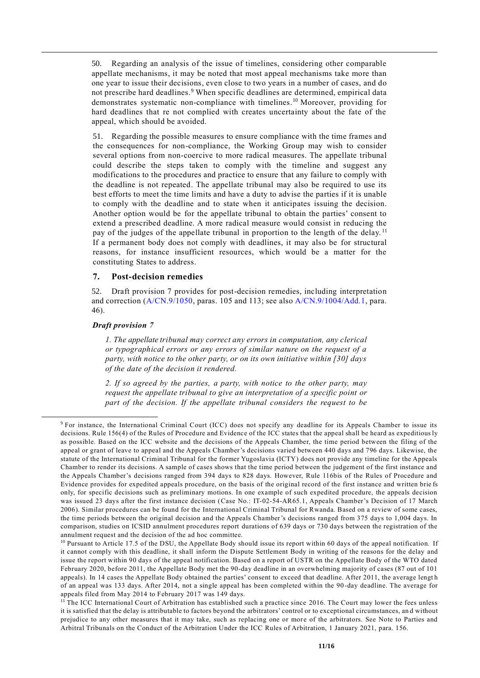50. Regarding an analysis of the issue of timelines, considering other comparable appellate mechanisms, it may be noted that most appeal mechanisms take more than one year to issue their decisions, even close to two years in a number of cases, and do not prescribe hard deadlines.<sup>9</sup> When specific deadlines are determined, empirical data demonstrates systematic non-compliance with timelines. 10 Moreover, providing for hard deadlines that re not complied with creates uncertainty about the fate of the appeal, which should be avoided.

51. Regarding the possible measures to ensure compliance with the time frames and the consequences for non-compliance, the Working Group may wish to consider several options from non-coercive to more radical measures. The appellate tribunal could describe the steps taken to comply with the timeline and suggest any modifications to the procedures and practice to ensure that any failure to comply with the deadline is not repeated. The appellate tribunal may also be required to use its best efforts to meet the time limits and have a duty to advise the parties if it is unable to comply with the deadline and to state when it anticipates issuing the decision. Another option would be for the appellate tribunal to obtain the parties' consent to extend a prescribed deadline. A more radical measure would consist in reducing the pay of the judges of the appellate tribunal in proportion to the length of the delay.<sup>11</sup> If a permanent body does not comply with deadlines, it may also be for structural reasons, for instance insufficient resources, which would be a matter for the constituting States to address.

#### **7. Post-decision remedies**

52. Draft provision 7 provides for post-decision remedies, including interpretation and correction (A/CN.9/1050, paras. 105 and 113; see also A/CN.9/1004/Add.1, para. 46).

#### *Draft provision 7*

*1. The appellate tribunal may correct any errors in computation, any clerical or typographical errors or any errors of similar nature on the request of a party, with notice to the other party, or on its own initiative within [30] days of the date of the decision it rendered.*

*2. If so agreed by the parties, a party, with notice to the other party, may request the appellate tribunal to give an interpretation of a specific point or part of the decision. If the appellate tribunal considers the request to be* 

<sup>9</sup> For instance, the International Criminal Court (ICC) does not specify any deadline for its Appeals Chamber to issue its decisions. Rule 156(4) of the Rules of Procedure and Evidence of the ICC states that the appeal shall be heard as expeditiously as possible. Based on the ICC website and the decisions of the Appeals Chamber, the time period between the filing of the appeal or grant of leave to appeal and the Appeals Chamber's decisions varied between 440 days and 796 days. Likewise, the statute of the International Criminal Tribunal for the former Yugoslavia (ICTY) does not provide any timeline for the Appeals Chamber to render its decisions. A sample of cases shows that the time period between the judgement of the first instance and the Appeals Chamber's decisions ranged from 394 days to 828 days. However, Rule 116bis of the Rules of Procedure and Evidence provides for expedited appeals procedure, on the basis of the original record of the first instance and written brie fs only, for specific decisions such as preliminary motions. In one example of such expedited procedure, the appeals decision was issued 23 days after the first instance decision (Case No.: IT-02-54-AR65.1, Appeals Chamber's Decision of 17 March 2006). Similar procedures can be found for the International Criminal Tribunal for Rwanda. Based on a review of some cases, the time periods between the original decision and the Appeals Chamber's decisions ranged from 375 days to 1,004 days. In comparison, studies on ICSID annulment procedures report durations of 639 days or 730 days between the registration of the annulment request and the decision of the ad hoc committee.

<sup>&</sup>lt;sup>10</sup> Pursuant to Article 17.5 of the DSU, the Appellate Body should issue its report within 60 days of the appeal notification. If it cannot comply with this deadline, it shall inform the Dispute Settlement Body in writing of the reasons for the delay and issue the report within 90 days of the appeal notification. Based on a report of USTR on the Appellate Body of the WTO dated February 2020, before 2011, the Appellate Body met the 90-day deadline in an overwhelming majority of cases (87 out of 101 appeals). In 14 cases the Appellate Body obtained the parties' consent to exceed that deadline. After 2011, the average length of an appeal was 133 days. After 2014, not a single appeal has been completed within the 90-day deadline. The average for appeals filed from May 2014 to February 2017 was 149 days.

<sup>&</sup>lt;sup>11</sup> The ICC International Court of Arbitration has established such a practice since 2016. The Court may lower the fees unless it is satisfied that the delay is attributable to factors beyond the arbitrators' control or to exceptional circumstances, an d without prejudice to any other measures that it may take, such as replacing one or more of the arbitrators. See Note to Parties and Arbitral Tribunals on the Conduct of the Arbitration Under the ICC Rules of Arbitration, 1 January 2021, para. 156.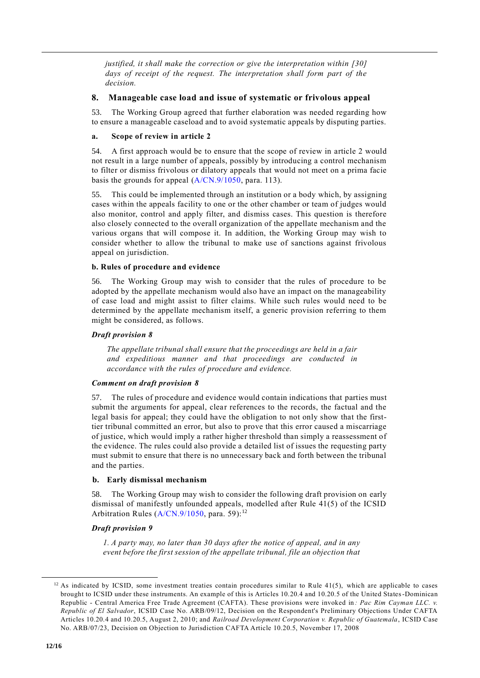*justified, it shall make the correction or give the interpretation within [30] days of receipt of the request. The interpretation shall form part of the decision.*

## **8. Manageable case load and issue of systematic or frivolous appeal**

53. The Working Group agreed that further elaboration was needed regarding how to ensure a manageable caseload and to avoid systematic appeals by disputing parties.

## **a. Scope of review in article 2**

54. A first approach would be to ensure that the scope of review in article 2 would not result in a large number of appeals, possibly by introducing a control mechanism to filter or dismiss frivolous or dilatory appeals that would not meet on a prima facie basis the grounds for appeal (A/CN.9/1050, para. 113).

55. This could be implemented through an institution or a body which, by assigning cases within the appeals facility to one or the other chamber or team of judges would also monitor, control and apply filter, and dismiss cases. This question is therefore also closely connected to the overall organization of the appellate mechanism and the various organs that will compose it. In addition, the Working Group may wish to consider whether to allow the tribunal to make use of sanctions against frivolous appeal on jurisdiction.

## **b. Rules of procedure and evidence**

56. The Working Group may wish to consider that the rules of procedure to be adopted by the appellate mechanism would also have an impact on the manageability of case load and might assist to filter claims. While such rules would need to be determined by the appellate mechanism itself, a generic provision referring to them might be considered, as follows.

## *Draft provision 8*

*The appellate tribunal shall ensure that the proceedings are held in a fair and expeditious manner and that proceedings are conducted in accordance with the rules of procedure and evidence.*

## *Comment on draft provision 8*

57. The rules of procedure and evidence would contain indications that parties must submit the arguments for appeal, clear references to the records, the factual and the legal basis for appeal; they could have the obligation to not only show that the firsttier tribunal committed an error, but also to prove that this error caused a miscarriage of justice, which would imply a rather higher threshold than simply a reassessment of the evidence. The rules could also provide a detailed list of issues the requesting party must submit to ensure that there is no unnecessary back and forth between the tribunal and the parties.

## **b. Early dismissal mechanism**

58. The Working Group may wish to consider the following draft provision on early dismissal of manifestly unfounded appeals, modelled after Rule 41(5) of the ICSID Arbitration Rules (A/CN.9/1050, para. 59):<sup>12</sup>

## *Draft provision 9*

*1. A party may, no later than 30 days after the notice of appeal, and in any event before the first session of the appellate tribunal, file an objection that* 

 $12$  As indicated by ICSID, some investment treaties contain procedures similar to Rule 41(5), which are applicable to cases brought to ICSID under these instruments. An example of this is Articles 10.20.4 and 10.20.5 of the United States-Dominican Republic - Central America Free Trade Agreement (CAFTA). These provisions were invoked in: Pac Rim Cayman LLC. v. *Republic of El Salvador*, ICSID Case No. ARB/09/12, Decision on the Respondent's Preliminary Objections Under CAFTA Articles 10.20.4 and 10.20.5, August 2, 2010; and *Railroad Development Corporation v. Republic of Guatemala*, ICSID Case No. ARB/07/23, Decision on Objection to Jurisdiction CAFTA Article 10.20.5, November 17, 2008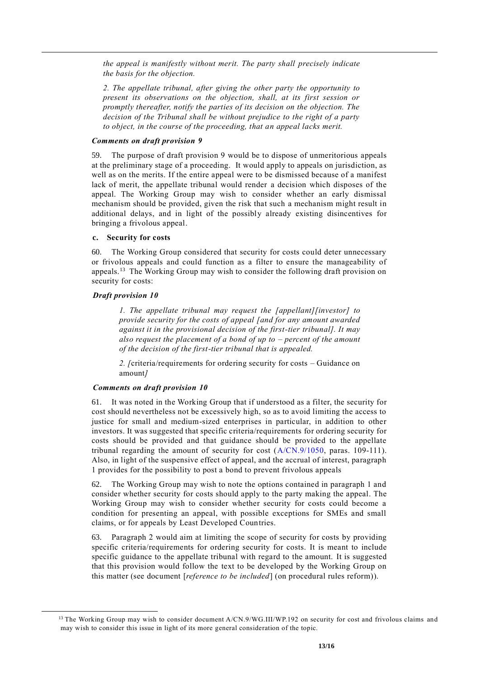*the appeal is manifestly without merit. The party shall precisely indicate the basis for the objection.* 

*2. The appellate tribunal, after giving the other party the opportunity to present its observations on the objection, shall, at its first session or promptly thereafter, notify the parties of its decision on the objection. The decision of the Tribunal shall be without prejudice to the right of a party to object, in the course of the proceeding, that an appeal lacks merit.*

## *Comments on draft provision 9*

59. The purpose of draft provision 9 would be to dispose of unmeritorious appeals at the preliminary stage of a proceeding. It would apply to appeals on jurisdiction, as well as on the merits. If the entire appeal were to be dismissed because of a manifest lack of merit, the appellate tribunal would render a decision which disposes of the appeal. The Working Group may wish to consider whether an early dismissal mechanism should be provided, given the risk that such a mechanism might result in additional delays, and in light of the possibly already existing disincentives for bringing a frivolous appeal.

### **c. Security for costs**

60. The Working Group considered that security for costs could deter unnecessary or frivolous appeals and could function as a filter to ensure the manageability of appeals.<sup>13</sup> The Working Group may wish to consider the following draft provision on security for costs:

### *Draft provision 10*

*1. The appellate tribunal may request the [appellant][investor] to provide security for the costs of appeal [and for any amount awarded against it in the provisional decision of the first-tier tribunal]. It may also request the placement of a bond of up to – percent of the amount of the decision of the first-tier tribunal that is appealed.*

*2. [*criteria/requirements for ordering security for costs – Guidance on amount*]*

## *Comments on draft provision 10*

61. It was noted in the Working Group that if understood as a filter, the security for cost should nevertheless not be excessively high, so as to avoid limiting the access to justice for small and medium-sized enterprises in particular, in addition to other investors. It was suggested that specific criteria/requirements for ordering security for costs should be provided and that guidance should be provided to the appellate tribunal regarding the amount of security for cost  $(A/CN.9/1050, \text{ paras. } 109-111)$ . Also, in light of the suspensive effect of appeal, and the accrual of interest, paragraph 1 provides for the possibility to post a bond to prevent frivolous appeals

62. The Working Group may wish to note the options contained in paragraph 1 and consider whether security for costs should apply to the party making the appeal. The Working Group may wish to consider whether security for costs could become a condition for presenting an appeal, with possible exceptions for SMEs and small claims, or for appeals by Least Developed Countries.

63. Paragraph 2 would aim at limiting the scope of security for costs by providing specific criteria/requirements for ordering security for costs. It is meant to include specific guidance to the appellate tribunal with regard to the amount. It is suggested that this provision would follow the text to be developed by the Working Group on this matter (see document [*reference to be included*] (on procedural rules reform)).

<sup>&</sup>lt;sup>13</sup> The Working Group may wish to consider document  $A/CN.9/WG.III/WP.192$  on security for cost and frivolous claims and may wish to consider this issue in light of its more general consideration of the topic.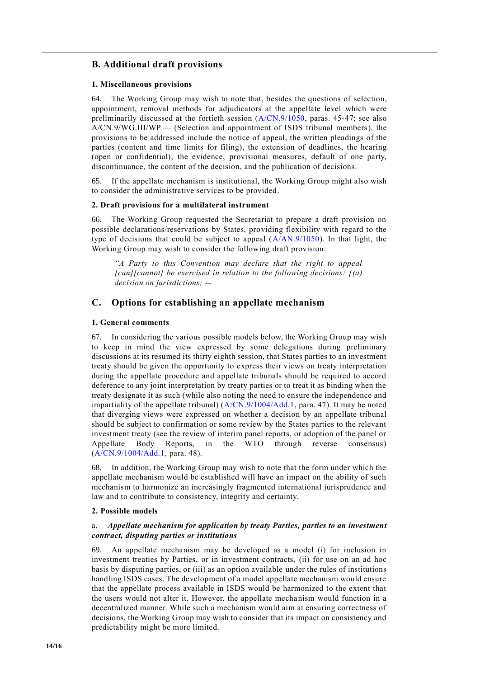## **B. Additional draft provisions**

## **1. Miscellaneous provisions**

64. The Working Group may wish to note that, besides the questions of selection, appointment, removal methods for adjudicators at the appellate level which were preliminarily discussed at the fortieth session (A/CN.9/1050, paras. 45-47; see also A/CN.9/WG.III/WP.— (Selection and appointment of ISDS tribunal members), the provisions to be addressed include the notice of appeal, the written pleadings of the parties (content and time limits for filing), the extension of deadlines, the hearing (open or confidential), the evidence, provisional measures, default of one party, discontinuance, the content of the decision, and the publication of decisions.

65. If the appellate mechanism is institutional, the Working Group might also wish to consider the administrative services to be provided.

## **2. Draft provisions for a multilateral instrument**

66. The Working Group requested the Secretariat to prepare a draft provision on possible declarations/reservations by States, providing flexibility with regard to the type of decisions that could be subject to appeal  $(A/AN.9/1050)$ . In that light, the Working Group may wish to consider the following draft provision:

*"A Party to this Convention may declare that the right to appeal [can][cannot] be exercised in relation to the following decisions: [(a) decision on jurisdictions; --*

## **C. Options for establishing an appellate mechanism**

## **1. General comments**

67. In considering the various possible models below, the Working Group may wish to keep in mind the view expressed by some delegations during preliminary discussions at its resumed its thirty eighth session, that States parties to an investment treaty should be given the opportunity to express their views on treaty interpretation during the appellate procedure and appellate tribunals should be required to accord deference to any joint interpretation by treaty parties or to treat it as binding when the treaty designate it as such (while also noting the need to ensure the independence and impartiality of the appellate tribunal) (A/CN.9/1004/Add.1, para. 47). It may be noted that diverging views were expressed on whether a decision by an appellate tribunal should be subject to confirmation or some review by the States parties to the relevant investment treaty (see the review of interim panel reports, or adoption of the panel or Appellate Body Reports, in the WTO through reverse consensus) (A/CN.9/1004/Add.1, para. 48).

68. In addition, the Working Group may wish to note that the form under which the appellate mechanism would be established will have an impact on the ability of such mechanism to harmonize an increasingly fragmented international jurisprudence and law and to contribute to consistency, integrity and certainty.

## **2. Possible models**

## a. *Appellate mechanism for application by treaty Parties, parties to an investment contract, disputing parties or institutions*

69. An appellate mechanism may be developed as a model (i) for inclusion in investment treaties by Parties, or in investment contracts, (ii) for use on an ad hoc basis by disputing parties, or (iii) as an option available under the rules of institutions handling ISDS cases. The development of a model appellate mechanism would ensure that the appellate process available in ISDS would be harmonized to the extent that the users would not alter it. However, the appellate mechanism would function in a decentralized manner. While such a mechanism would aim at ensuring correctness of decisions, the Working Group may wish to consider that its impact on consistency and predictability might be more limited.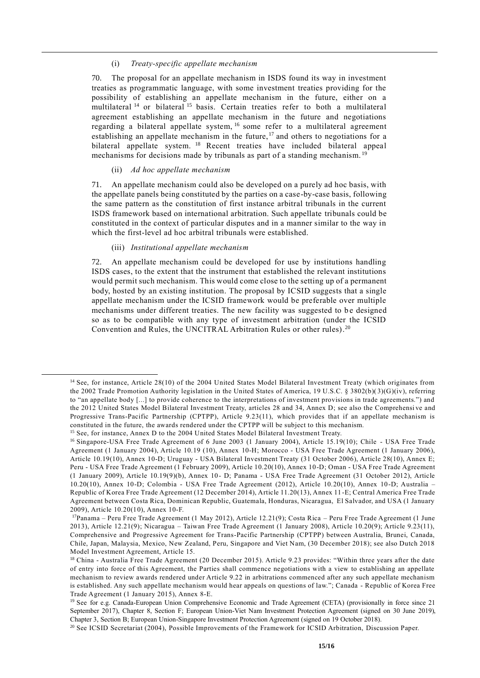#### (i) *Treaty-specific appellate mechanism*

70. The proposal for an appellate mechanism in ISDS found its way in investment treaties as programmatic language, with some investment treaties providing for the possibility of establishing an appellate mechanism in the future, either on a multilateral<sup>14</sup> or bilateral<sup>15</sup> basis. Certain treaties refer to both a multilateral agreement establishing an appellate mechanism in the future and negotiations regarding a bilateral appellate system, <sup>16</sup> some refer to a multilateral agreement establishing an appellate mechanism in the future,<sup>17</sup> and others to negotiations for a bilateral appellate system. <sup>18</sup> Recent treaties have included bilateral appeal mechanisms for decisions made by tribunals as part of a standing mechanism. <sup>19</sup>

#### (ii) *Ad hoc appellate mechanism*

71. An appellate mechanism could also be developed on a purely ad hoc basis, with the appellate panels being constituted by the parties on a case-by-case basis, following the same pattern as the constitution of first instance arbitral tribunals in the current ISDS framework based on international arbitration. Such appellate tribunals could be constituted in the context of particular disputes and in a manner similar to the way in which the first-level ad hoc arbitral tribunals were established.

#### (iii) *Institutional appellate mechanism*

72. An appellate mechanism could be developed for use by institutions handling ISDS cases, to the extent that the instrument that established the relevant institutions would permit such mechanism. This would come close to the setting up of a permanent body, hosted by an existing institution. The proposal by ICSID suggests that a single appellate mechanism under the ICSID framework would be preferable over multiple mechanisms under different treaties. The new facility was suggested to be designed so as to be compatible with any type of investment arbitration (under the ICSID Convention and Rules, the UNCITRAL Arbitration Rules or other rules).<sup>20</sup>

<sup>&</sup>lt;sup>14</sup> See, for instance, Article 28(10) of the 2004 United States Model Bilateral Investment Treaty (which originates from the 2002 Trade Promotion Authority legislation in the United States of America, 19 U.S.C. § 3802(b)( 3)(G)(iv), referring to "an appellate body [...] to provide coherence to the interpretations of investment provisions in trade agreements.") and the 2012 United States Model Bilateral Investment Treaty, articles 28 and 34, Annex D; see also the Comprehensi ve and Progressive Trans-Pacific Partnership (CPTPP), Article 9.23(11), which provides that if an appellate mechanism is constituted in the future, the awards rendered under the CPTPP will be subject to this mechanism. <sup>15</sup> See, for instance, Annex D to the 2004 United States Model Bilateral Investment Treaty.

<sup>&</sup>lt;sup>16</sup> Singapore-USA Free Trade Agreement of 6 June 2003 (1 January 2004), Article 15.19(10); Chile - USA Free Trade Agreement (1 January 2004), Article 10.19 (10), Annex 10-H; Morocco - USA Free Trade Agreement (1 January 2006), Article 10.19(10), Annex 10-D; Uruguay - USA Bilateral Investment Treaty (31 October 2006), Article 28(10), Annex E; Peru - USA Free Trade Agreement (1 February 2009), Article 10.20(10), Annex 10-D; Oman - USA Free Trade Agreement (1 January 2009), Article 10.19(9)(b), Annex 10- D; Panama - USA Free Trade Agreement (31 October 2012), Article 10.20(10), Annex 10-D; Colombia - USA Free Trade Agreement (2012), Article 10.20(10), Annex 10-D; Australia – Republic of Korea Free Trade Agreement (12 December 2014), Article 11.20(13), Annex 11-E; Central America Free Trade Agreement between Costa Rica, Dominican Republic, Guatemala, Honduras, Nicaragua, El Salvador, and USA (1 January 2009), Article 10.20(10), Annex 10-F.

<sup>17</sup>Panama – Peru Free Trade Agreement (1 May 2012), Article 12.21(9); Costa Rica – Peru Free Trade Agreement (1 June 2013), Article 12.21(9); Nicaragua – Taiwan Free Trade Agreement (1 January 2008), Article 10.20(9); Article 9.23(11), Comprehensive and Progressive Agreement for Trans-Pacific Partnership (CPTPP) between Australia, Brunei, Canada, Chile, Japan, Malaysia, Mexico, New Zealand, Peru, Singapore and Viet Nam, (30 December 2018); see also Dutch 2018 Model Investment Agreement, Article 15.

<sup>&</sup>lt;sup>18</sup> China - Australia Free Trade Agreement (20 December 2015). Article 9.23 provides: "Within three years after the date of entry into force of this Agreement, the Parties shall commence negotiations with a view to establishing an appellate mechanism to review awards rendered under Article 9.22 in arbitrations commenced after any such appellate mechanism is established. Any such appellate mechanism would hear appeals on questions of law."; Canada - Republic of Korea Free Trade Agreement (1 January 2015), Annex 8-E.

<sup>&</sup>lt;sup>19</sup> See for e.g. Canada-European Union Comprehensive Economic and Trade Agreement (CETA) (provisionally in force since 21 September 2017), Chapter 8, Section F; European Union-Viet Nam Investment Protection Agreement (signed on 30 June 2019), Chapter 3, Section B; European Union-Singapore Investment Protection Agreement (signed on 19 October 2018).

<sup>&</sup>lt;sup>20</sup> See ICSID Secretariat (2004), Possible Improvements of the Framework for ICSID Arbitration, Discussion Paper.